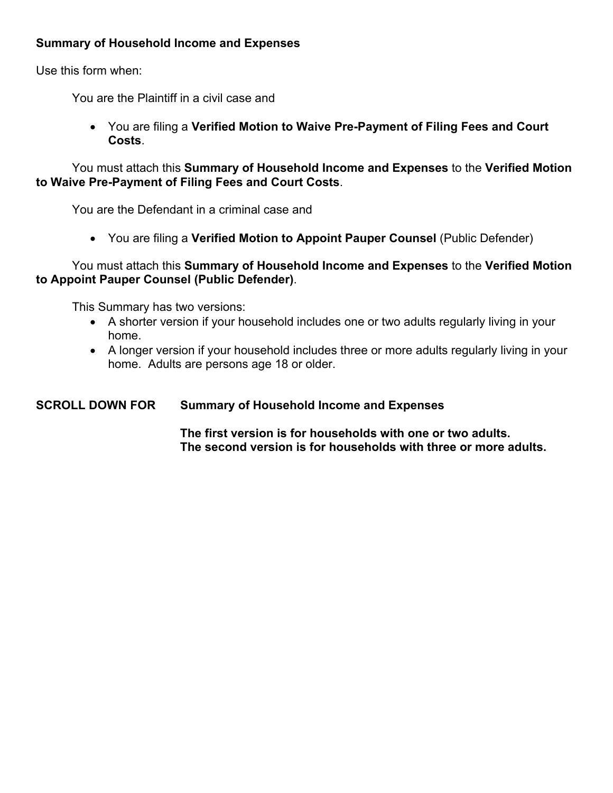# **Summary of Household Income and Expenses**

Use this form when:

You are the Plaintiff in a civil case and

 You are filing a **Verified Motion to Waive Pre-Payment of Filing Fees and Court Costs**.

 You must attach this **Summary of Household Income and Expenses** to the **Verified Motion to Waive Pre-Payment of Filing Fees and Court Costs**.

You are the Defendant in a criminal case and

You are filing a **Verified Motion to Appoint Pauper Counsel** (Public Defender)

# You must attach this **Summary of Household Income and Expenses** to the **Verified Motion to Appoint Pauper Counsel (Public Defender)**.

This Summary has two versions:

- A shorter version if your household includes one or two adults regularly living in your home.
- A longer version if your household includes three or more adults regularly living in your home. Adults are persons age 18 or older.

# **SCROLL DOWN FOR Summary of Household Income and Expenses**

 **The first version is for households with one or two adults. The second version is for households with three or more adults.**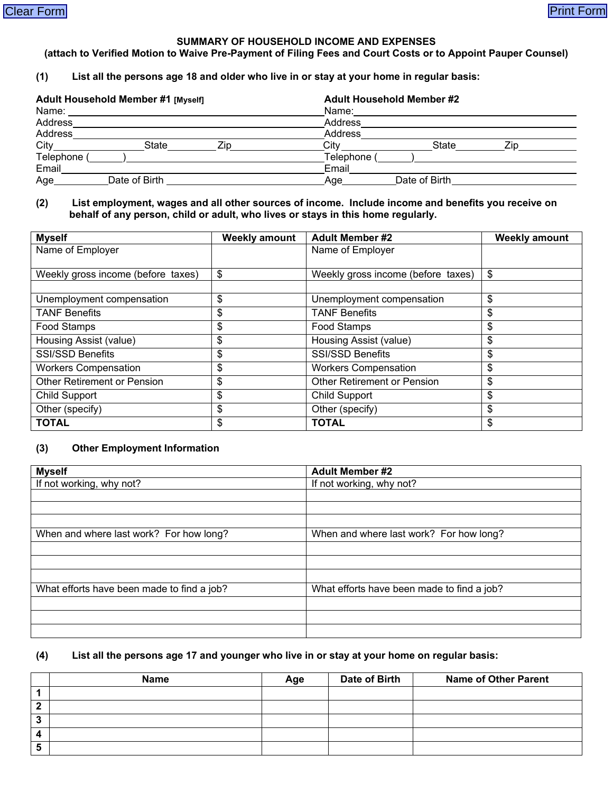#### **SUMMARY OF HOUSEHOLD INCOME AND EXPENSES**

#### **(attach to Verified Motion to Waive Pre-Payment of Filing Fees and Court Costs or to Appoint Pauper Counsel)**

## **(1) List all the persons age 18 and older who live in or stay at your home in regular basis:**

| Adult Household Member #1 [Myself] |               |     | <b>Adult Household Member #2</b> |               |     |
|------------------------------------|---------------|-----|----------------------------------|---------------|-----|
| Name:                              |               |     | Name:                            |               |     |
| Address                            |               |     | Address                          |               |     |
| Address                            |               |     | Address                          |               |     |
| City                               | State         | Zip | City                             | State         | 7in |
| Telephone                          |               |     | Telephone (                      |               |     |
| Email                              |               |     | Email                            |               |     |
| Age                                | Date of Birth |     | Age                              | Date of Birth |     |

#### **(2) List employment, wages and all other sources of income. Include income and benefits you receive on behalf of any person, child or adult, who lives or stays in this home regularly.**

| <b>Myself</b>                      | <b>Weekly amount</b> | <b>Adult Member #2</b>             | <b>Weekly amount</b> |
|------------------------------------|----------------------|------------------------------------|----------------------|
| Name of Employer                   |                      | Name of Employer                   |                      |
|                                    |                      |                                    |                      |
| Weekly gross income (before taxes) | \$                   | Weekly gross income (before taxes) | \$                   |
|                                    |                      |                                    |                      |
| Unemployment compensation          | \$                   | Unemployment compensation          | \$                   |
| <b>TANF Benefits</b>               | \$                   | <b>TANF Benefits</b>               | \$                   |
| Food Stamps                        | \$                   | Food Stamps                        | \$                   |
| Housing Assist (value)             | \$                   | Housing Assist (value)             | \$                   |
| <b>SSI/SSD Benefits</b>            | \$                   | <b>SSI/SSD Benefits</b>            | \$                   |
| <b>Workers Compensation</b>        | \$                   | <b>Workers Compensation</b>        | \$                   |
| Other Retirement or Pension        | \$                   | Other Retirement or Pension        | \$                   |
| <b>Child Support</b>               | \$                   | <b>Child Support</b>               | \$                   |
| Other (specify)                    | \$                   | Other (specify)                    | \$                   |
| <b>TOTAL</b>                       | \$                   | <b>TOTAL</b>                       | \$                   |

#### **(3) Other Employment Information**

| <b>Myself</b>                              | <b>Adult Member #2</b>                     |
|--------------------------------------------|--------------------------------------------|
| If not working, why not?                   | If not working, why not?                   |
|                                            |                                            |
|                                            |                                            |
|                                            |                                            |
| When and where last work? For how long?    | When and where last work? For how long?    |
|                                            |                                            |
|                                            |                                            |
|                                            |                                            |
| What efforts have been made to find a job? | What efforts have been made to find a job? |
|                                            |                                            |
|                                            |                                            |
|                                            |                                            |

## **(4) List all the persons age 17 and younger who live in or stay at your home on regular basis:**

|  | . A ~ ^ | Date of Birth | <b>Name of Other Parent</b> |
|--|---------|---------------|-----------------------------|
|  |         |               |                             |
|  |         |               |                             |
|  |         |               |                             |
|  |         |               |                             |
|  |         |               |                             |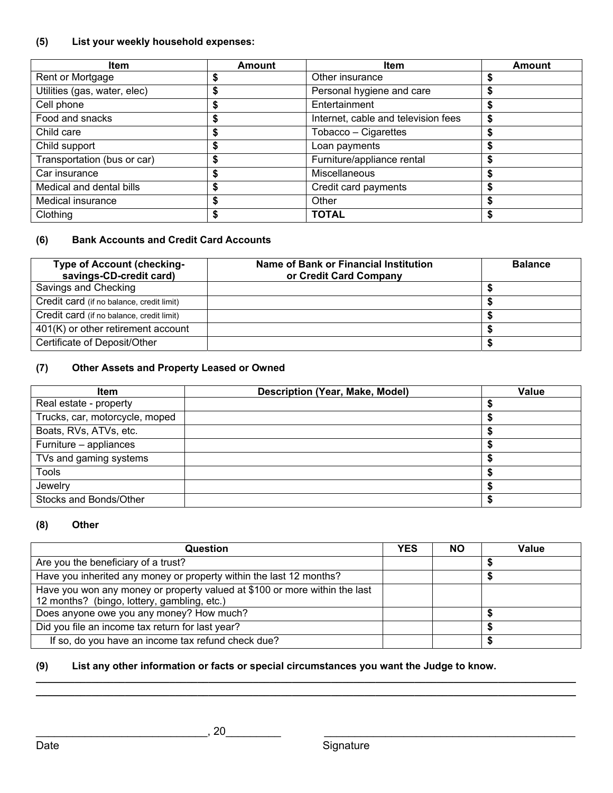# **(5) List your weekly household expenses:**

| <b>Item</b>                  | <b>Amount</b> | <b>Item</b>                         | <b>Amount</b> |
|------------------------------|---------------|-------------------------------------|---------------|
| Rent or Mortgage             |               | Other insurance                     |               |
| Utilities (gas, water, elec) | ъ             | Personal hygiene and care           |               |
| Cell phone                   |               | Entertainment                       |               |
| Food and snacks              | æ             | Internet, cable and television fees | S             |
| Child care                   | æ<br>ъ        | Tobacco - Cigarettes                |               |
| Child support                | æ             | Loan payments                       | ъ             |
| Transportation (bus or car)  | œ<br>ъ        | Furniture/appliance rental          | ъ             |
| Car insurance                | \$            | <b>Miscellaneous</b>                |               |
| Medical and dental bills     | ъ             | Credit card payments                |               |
| Medical insurance            |               | Other                               |               |
| Clothing                     |               | <b>TOTAL</b>                        |               |

## **(6) Bank Accounts and Credit Card Accounts**

| Type of Account (checking-<br>savings-CD-credit card) | Name of Bank or Financial Institution<br>or Credit Card Company | <b>Balance</b> |
|-------------------------------------------------------|-----------------------------------------------------------------|----------------|
| Savings and Checking                                  |                                                                 |                |
| Credit card (if no balance, credit limit)             |                                                                 |                |
| Credit card (if no balance, credit limit)             |                                                                 |                |
| 401(K) or other retirement account                    |                                                                 |                |
| Certificate of Deposit/Other                          |                                                                 |                |

## **(7) Other Assets and Property Leased or Owned**

| <b>Item</b>                    | <b>Description (Year, Make, Model)</b> | Value |
|--------------------------------|----------------------------------------|-------|
| Real estate - property         |                                        |       |
| Trucks, car, motorcycle, moped |                                        |       |
| Boats, RVs, ATVs, etc.         |                                        |       |
| Furniture - appliances         |                                        |       |
| TVs and gaming systems         |                                        |       |
| Tools                          |                                        |       |
| Jewelry                        |                                        |       |
| Stocks and Bonds/Other         |                                        |       |

## **(8) Other**

| Question                                                                                                                  | <b>YES</b> | <b>NO</b> | Value |
|---------------------------------------------------------------------------------------------------------------------------|------------|-----------|-------|
| Are you the beneficiary of a trust?                                                                                       |            |           |       |
| Have you inherited any money or property within the last 12 months?                                                       |            |           |       |
| Have you won any money or property valued at \$100 or more within the last<br>12 months? (bingo, lottery, gambling, etc.) |            |           |       |
| Does anyone owe you any money? How much?                                                                                  |            |           |       |
| Did you file an income tax return for last year?                                                                          |            |           |       |
| If so, do you have an income tax refund check due?                                                                        |            |           |       |

**\_\_\_\_\_\_\_\_\_\_\_\_\_\_\_\_\_\_\_\_\_\_\_\_\_\_\_\_\_\_\_\_\_\_\_\_\_\_\_\_\_\_\_\_\_\_\_\_\_\_\_\_\_\_\_\_\_\_\_\_\_\_\_\_\_\_\_\_\_\_\_\_\_\_\_\_\_\_\_\_\_\_\_\_\_\_\_\_\_\_\_\_\_\_\_\_\_ \_\_\_\_\_\_\_\_\_\_\_\_\_\_\_\_\_\_\_\_\_\_\_\_\_\_\_\_\_\_\_\_\_\_\_\_\_\_\_\_\_\_\_\_\_\_\_\_\_\_\_\_\_\_\_\_\_\_\_\_\_\_\_\_\_\_\_\_\_\_\_\_\_\_\_\_\_\_\_\_\_\_\_\_\_\_\_\_\_\_\_\_\_\_\_\_\_** 

## **(9) List any other information or facts or special circumstances you want the Judge to know.**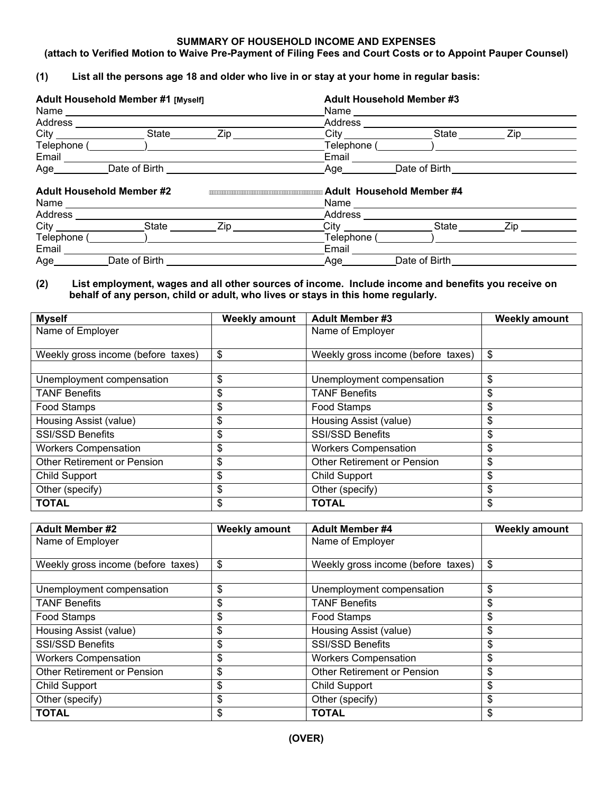#### **SUMMARY OF HOUSEHOLD INCOME AND EXPENSES**

#### **(attach to Verified Motion to Waive Pre-Payment of Filing Fees and Court Costs or to Appoint Pauper Counsel)**

#### **(1) List all the persons age 18 and older who live in or stay at your home in regular basis:**

|                                  | Adult Household Member #1 [Myself] |     | <b>Adult Household Member #3</b>                                                                                                                                                                                               |               |                                                                                                                                                                                                                                |
|----------------------------------|------------------------------------|-----|--------------------------------------------------------------------------------------------------------------------------------------------------------------------------------------------------------------------------------|---------------|--------------------------------------------------------------------------------------------------------------------------------------------------------------------------------------------------------------------------------|
|                                  |                                    |     | Name and the contract of the contract of the contract of the contract of the contract of the contract of the contract of the contract of the contract of the contract of the contract of the contract of the contract of the c |               |                                                                                                                                                                                                                                |
| Address                          |                                    |     | Address                                                                                                                                                                                                                        |               |                                                                                                                                                                                                                                |
| City                             | State                              | Zip | City                                                                                                                                                                                                                           | State         | Ziper and the set of the set of the set of the set of the set of the set of the set of the set of the set of the set of the set of the set of the set of the set of the set of the set of the set of the set of the set of the |
| Telephone (                      |                                    |     | Telephone (                                                                                                                                                                                                                    |               |                                                                                                                                                                                                                                |
| Email                            |                                    |     | Email                                                                                                                                                                                                                          |               |                                                                                                                                                                                                                                |
| Age                              | Date of Birth                      |     | Age                                                                                                                                                                                                                            | Date of Birth |                                                                                                                                                                                                                                |
| <b>Adult Household Member #2</b> |                                    |     | Adult Household Member #4                                                                                                                                                                                                      |               |                                                                                                                                                                                                                                |
| Address                          |                                    |     | Address                                                                                                                                                                                                                        |               |                                                                                                                                                                                                                                |
| <b>City City</b>                 | State                              | Zip | City                                                                                                                                                                                                                           | State         | $\mathsf{Zip} \_\_\_\_\_\_\$                                                                                                                                                                                                   |
| Telephone (                      |                                    |     | Telephone (                                                                                                                                                                                                                    |               |                                                                                                                                                                                                                                |
| Email                            |                                    |     | Email                                                                                                                                                                                                                          |               |                                                                                                                                                                                                                                |
| Age                              | Date of Birth                      |     | Age                                                                                                                                                                                                                            | Date of Birth |                                                                                                                                                                                                                                |

#### **(2) List employment, wages and all other sources of income. Include income and benefits you receive on behalf of any person, child or adult, who lives or stays in this home regularly.**

| <b>Myself</b>                      | <b>Weekly amount</b> | <b>Adult Member #3</b>             | <b>Weekly amount</b> |
|------------------------------------|----------------------|------------------------------------|----------------------|
| Name of Employer                   |                      | Name of Employer                   |                      |
|                                    |                      |                                    |                      |
| Weekly gross income (before taxes) | \$                   | Weekly gross income (before taxes) | \$                   |
|                                    |                      |                                    |                      |
| Unemployment compensation          | \$                   | Unemployment compensation          | \$                   |
| <b>TANF Benefits</b>               | \$                   | <b>TANF Benefits</b>               | \$                   |
| Food Stamps                        | \$                   | Food Stamps                        | \$                   |
| Housing Assist (value)             | \$                   | Housing Assist (value)             | \$                   |
| <b>SSI/SSD Benefits</b>            | \$                   | <b>SSI/SSD Benefits</b>            | \$                   |
| <b>Workers Compensation</b>        | \$                   | <b>Workers Compensation</b>        | \$                   |
| Other Retirement or Pension        | \$                   | Other Retirement or Pension        | \$                   |
| <b>Child Support</b>               | \$                   | <b>Child Support</b>               | \$                   |
| Other (specify)                    | \$                   | Other (specify)                    | \$                   |
| <b>TOTAL</b>                       | \$                   | <b>TOTAL</b>                       | \$                   |

| <b>Adult Member #2</b>             | <b>Weekly amount</b> | <b>Adult Member #4</b>             | <b>Weekly amount</b> |
|------------------------------------|----------------------|------------------------------------|----------------------|
| Name of Employer                   |                      | Name of Employer                   |                      |
|                                    |                      |                                    |                      |
| Weekly gross income (before taxes) | \$                   | Weekly gross income (before taxes) | \$                   |
|                                    |                      |                                    |                      |
| Unemployment compensation          | \$                   | Unemployment compensation          | \$                   |
| <b>TANF Benefits</b>               | \$                   | <b>TANF Benefits</b>               | \$                   |
| Food Stamps                        | \$                   | Food Stamps                        | \$                   |
| Housing Assist (value)             | \$                   | Housing Assist (value)             | \$                   |
| <b>SSI/SSD Benefits</b>            | \$                   | <b>SSI/SSD Benefits</b>            | \$                   |
| <b>Workers Compensation</b>        | \$                   | <b>Workers Compensation</b>        | \$                   |
| <b>Other Retirement or Pension</b> | \$                   | Other Retirement or Pension        | \$                   |
| <b>Child Support</b>               | \$                   | <b>Child Support</b>               | \$                   |
| Other (specify)                    | \$                   | Other (specify)                    | \$                   |
| <b>TOTAL</b>                       | \$                   | <b>TOTAL</b>                       | \$                   |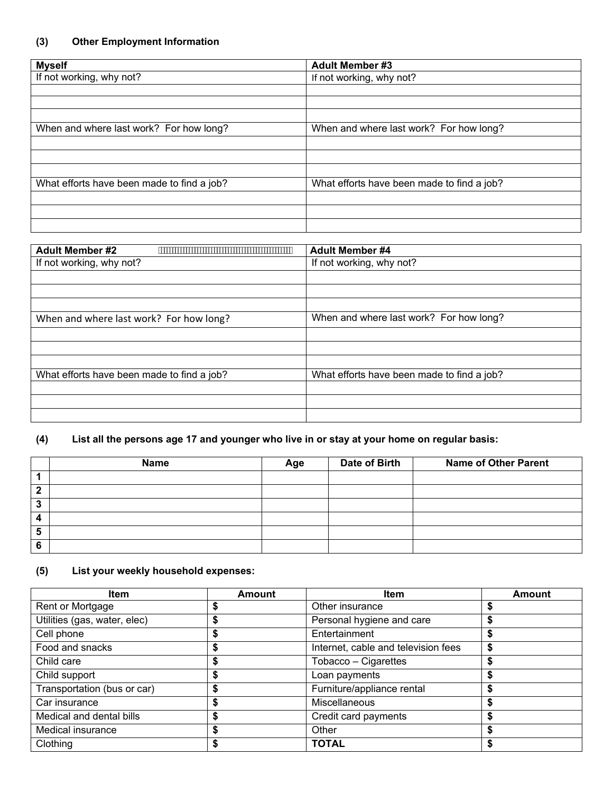| <b>Myself</b>                              | <b>Adult Member #3</b>                     |
|--------------------------------------------|--------------------------------------------|
| If not working, why not?                   | If not working, why not?                   |
|                                            |                                            |
|                                            |                                            |
|                                            |                                            |
| When and where last work? For how long?    | When and where last work? For how long?    |
|                                            |                                            |
|                                            |                                            |
|                                            |                                            |
| What efforts have been made to find a job? | What efforts have been made to find a job? |
|                                            |                                            |
|                                            |                                            |
|                                            |                                            |

| <b>Adult Member #2</b>                     | <b>Adult Member #4</b>                     |  |  |
|--------------------------------------------|--------------------------------------------|--|--|
| If not working, why not?                   | If not working, why not?                   |  |  |
|                                            |                                            |  |  |
|                                            |                                            |  |  |
|                                            |                                            |  |  |
| When and where last work? For how long?    | When and where last work? For how long?    |  |  |
|                                            |                                            |  |  |
|                                            |                                            |  |  |
|                                            |                                            |  |  |
| What efforts have been made to find a job? | What efforts have been made to find a job? |  |  |
|                                            |                                            |  |  |
|                                            |                                            |  |  |
|                                            |                                            |  |  |

# **(4) List all the persons age 17 and younger who live in or stay at your home on regular basis:**

|   | Name | Age | Date of Birth | <b>Name of Other Parent</b> |
|---|------|-----|---------------|-----------------------------|
|   |      |     |               |                             |
| ◠ |      |     |               |                             |
| ≏ |      |     |               |                             |
|   |      |     |               |                             |
|   |      |     |               |                             |
|   |      |     |               |                             |

# **(5) List your weekly household expenses:**

| <b>Item</b>                  | Amount | <b>Item</b>                         | Amount |
|------------------------------|--------|-------------------------------------|--------|
| Rent or Mortgage             |        | Other insurance                     |        |
| Utilities (gas, water, elec) |        | Personal hygiene and care           | \$     |
| Cell phone                   |        | Entertainment                       | \$     |
| Food and snacks              |        | Internet, cable and television fees | \$     |
| Child care                   |        | Tobacco - Cigarettes                | \$     |
| Child support                |        | Loan payments                       | \$     |
| Transportation (bus or car)  |        | Furniture/appliance rental          | \$     |
| Car insurance                |        | <b>Miscellaneous</b>                | \$     |
| Medical and dental bills     |        | Credit card payments                | S      |
| Medical insurance            |        | Other                               | \$     |
| Clothing                     |        | <b>TOTAL</b>                        |        |